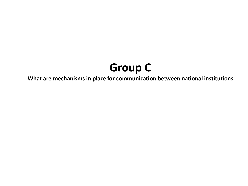## **Group C**

**What are mechanisms in place for communication between national institutions**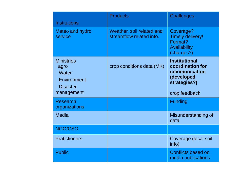| <b>Institutions</b>                                                                | <b>Products</b>                                       | <b>Challenges</b>                                                                                        |
|------------------------------------------------------------------------------------|-------------------------------------------------------|----------------------------------------------------------------------------------------------------------|
| Meteo and hydro<br>service                                                         | Weather, soil related and<br>streamflow related info. | Coverage?<br><b>Timely delivery!</b><br>Format?<br>Availability<br>(charges?)                            |
| <b>Ministries</b><br>agro<br>Water<br>Environment<br><b>Disaster</b><br>management | crop conditions data (MK)                             | <b>Institutional</b><br>coordination for<br>communication<br>(developed<br>strategies?)<br>crop feedback |
| <b>Research</b><br>organizations                                                   |                                                       | <b>Funding</b>                                                                                           |
| <b>Media</b>                                                                       |                                                       | Misunderstanding of<br>data                                                                              |
| NGO/CSO                                                                            |                                                       |                                                                                                          |
| <b>Pratictioners</b>                                                               |                                                       | Coverage (local soil<br>info)                                                                            |
| <b>Public</b>                                                                      |                                                       | <b>Conflicts based on</b><br>media publications                                                          |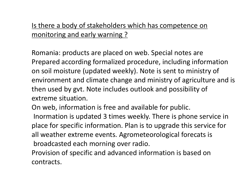## Is there a body of stakeholders which has competence on monitoring and early warning ?

Romania: products are placed on web. Special notes are Prepared according formalized procedure, including information on soil moisture (updated weekly). Note is sent to ministry of environment and climate change and ministry of agriculture and is then used by gvt. Note includes outlook and possibility of extreme situation.

On web, information is free and available for public. Inormation is updated 3 times weekly. There is phone service in place for specific information. Plan is to upgrade this service for all weather extreme events. Agrometeorological forecats is broadcasted each morning over radio.

Provision of specific and advanced information is based on contracts.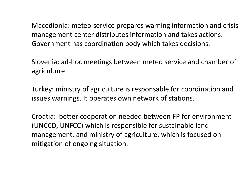Macedionia: meteo service prepares warning information and crisis management center distributes information and takes actions. Government has coordination body which takes decisions.

Slovenia: ad-hoc meetings between meteo service and chamber of agriculture

Turkey: ministry of agriculture is responsable for coordination and issues warnings. It operates own network of stations.

Croatia: better cooperation needed between FP for environment (UNCCD, UNFCC) which is responsible for sustainable land management, and ministry of agriculture, which is focused on mitigation of ongoing situation.